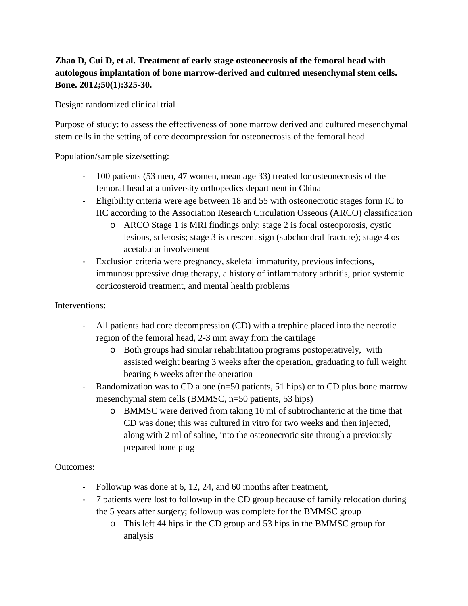# **Zhao D, Cui D, et al. Treatment of early stage osteonecrosis of the femoral head with autologous implantation of bone marrow-derived and cultured mesenchymal stem cells. Bone. 2012;50(1):325-30.**

Design: randomized clinical trial

Purpose of study: to assess the effectiveness of bone marrow derived and cultured mesenchymal stem cells in the setting of core decompression for osteonecrosis of the femoral head

Population/sample size/setting:

- 100 patients (53 men, 47 women, mean age 33) treated for osteonecrosis of the femoral head at a university orthopedics department in China
- Eligibility criteria were age between 18 and 55 with osteonecrotic stages form IC to IIC according to the Association Research Circulation Osseous (ARCO) classification
	- o ARCO Stage 1 is MRI findings only; stage 2 is focal osteoporosis, cystic lesions, sclerosis; stage 3 is crescent sign (subchondral fracture); stage 4 os acetabular involvement
- Exclusion criteria were pregnancy, skeletal immaturity, previous infections, immunosuppressive drug therapy, a history of inflammatory arthritis, prior systemic corticosteroid treatment, and mental health problems

## Interventions:

- All patients had core decompression (CD) with a trephine placed into the necrotic region of the femoral head, 2-3 mm away from the cartilage
	- o Both groups had similar rehabilitation programs postoperatively, with assisted weight bearing 3 weeks after the operation, graduating to full weight bearing 6 weeks after the operation
- Randomization was to CD alone (n=50 patients, 51 hips) or to CD plus bone marrow mesenchymal stem cells (BMMSC, n=50 patients, 53 hips)
	- o BMMSC were derived from taking 10 ml of subtrochanteric at the time that CD was done; this was cultured in vitro for two weeks and then injected, along with 2 ml of saline, into the osteonecrotic site through a previously prepared bone plug

## Outcomes:

- Followup was done at 6, 12, 24, and 60 months after treatment,
- 7 patients were lost to followup in the CD group because of family relocation during the 5 years after surgery; followup was complete for the BMMSC group
	- o This left 44 hips in the CD group and 53 hips in the BMMSC group for analysis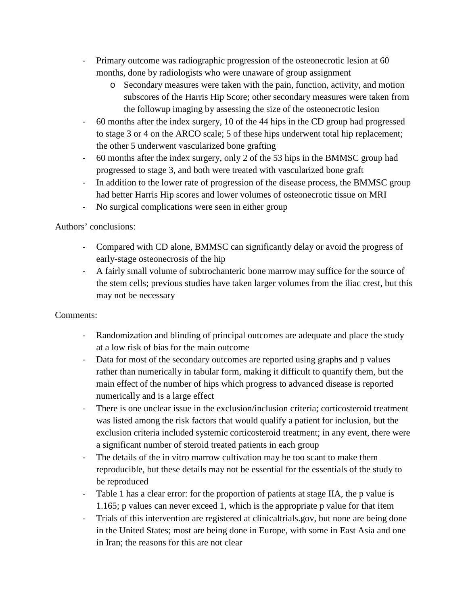- Primary outcome was radiographic progression of the osteonecrotic lesion at 60 months, done by radiologists who were unaware of group assignment
	- o Secondary measures were taken with the pain, function, activity, and motion subscores of the Harris Hip Score; other secondary measures were taken from the followup imaging by assessing the size of the osteonecrotic lesion
- 60 months after the index surgery, 10 of the 44 hips in the CD group had progressed to stage 3 or 4 on the ARCO scale; 5 of these hips underwent total hip replacement; the other 5 underwent vascularized bone grafting
- 60 months after the index surgery, only 2 of the 53 hips in the BMMSC group had progressed to stage 3, and both were treated with vascularized bone graft
- In addition to the lower rate of progression of the disease process, the BMMSC group had better Harris Hip scores and lower volumes of osteonecrotic tissue on MRI
- No surgical complications were seen in either group

### Authors' conclusions:

- Compared with CD alone, BMMSC can significantly delay or avoid the progress of early-stage osteonecrosis of the hip
- A fairly small volume of subtrochanteric bone marrow may suffice for the source of the stem cells; previous studies have taken larger volumes from the iliac crest, but this may not be necessary

## Comments:

- Randomization and blinding of principal outcomes are adequate and place the study at a low risk of bias for the main outcome
- Data for most of the secondary outcomes are reported using graphs and p values rather than numerically in tabular form, making it difficult to quantify them, but the main effect of the number of hips which progress to advanced disease is reported numerically and is a large effect
- There is one unclear issue in the exclusion/inclusion criteria; corticosteroid treatment was listed among the risk factors that would qualify a patient for inclusion, but the exclusion criteria included systemic corticosteroid treatment; in any event, there were a significant number of steroid treated patients in each group
- The details of the in vitro marrow cultivation may be too scant to make them reproducible, but these details may not be essential for the essentials of the study to be reproduced
- Table 1 has a clear error: for the proportion of patients at stage IIA, the p value is 1.165; p values can never exceed 1, which is the appropriate p value for that item
- Trials of this intervention are registered at clinicaltrials.gov, but none are being done in the United States; most are being done in Europe, with some in East Asia and one in Iran; the reasons for this are not clear